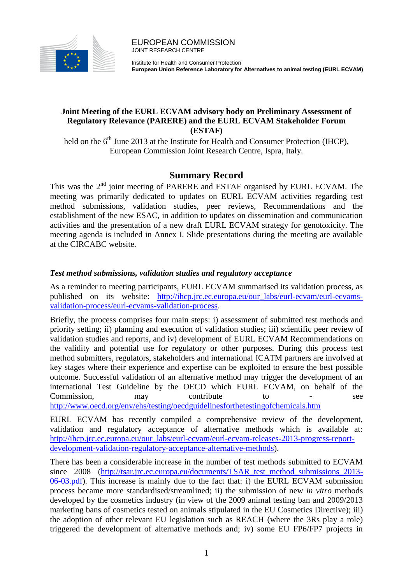

Institute for Health and Consumer Protection **European Union Reference Laboratory for Alternatives to animal testing (EURL ECVAM)**

# **Joint Meeting of the EURL ECVAM advisory body on Preliminary Assessment of Regulatory Relevance (PARERE) and the EURL ECVAM Stakeholder Forum (ESTAF)**

held on the  $6<sup>th</sup>$  June 2013 at the Institute for Health and Consumer Protection (IHCP), European Commission Joint Research Centre, Ispra, Italy.

# **Summary Record**

This was the 2<sup>nd</sup> joint meeting of PARERE and ESTAF organised by EURL ECVAM. The meeting was primarily dedicated to updates on EURL ECVAM activities regarding test method submissions, validation studies, peer reviews, Recommendations and the establishment of the new ESAC, in addition to updates on dissemination and communication activities and the presentation of a new draft EURL ECVAM strategy for genotoxicity. The meeting agenda is included in Annex I. Slide presentations during the meeting are available at the CIRCABC website.

# *Test method submissions, validation studies and regulatory acceptance*

As a reminder to meeting participants, EURL ECVAM summarised its validation process, as published on its website: [http://ihcp.jrc.ec.europa.eu/our\\_labs/eurl-ecvam/eurl-ecvams](http://ihcp.jrc.ec.europa.eu/our_labs/eurl-ecvam/eurl-ecvams-validation-process/eurl-ecvams-validation-process)[validation-process/eurl-ecvams-validation-process.](http://ihcp.jrc.ec.europa.eu/our_labs/eurl-ecvam/eurl-ecvams-validation-process/eurl-ecvams-validation-process)

Briefly, the process comprises four main steps: i) assessment of submitted test methods and priority setting; ii) planning and execution of validation studies; iii) scientific peer review of validation studies and reports, and iv) development of EURL ECVAM Recommendations on the validity and potential use for regulatory or other purposes. During this process test method submitters, regulators, stakeholders and international ICATM partners are involved at key stages where their experience and expertise can be exploited to ensure the best possible outcome. Successful validation of an alternative method may trigger the development of an international Test Guideline by the OECD which EURL ECVAM, on behalf of the Commission, may contribute to - see <http://www.oecd.org/env/ehs/testing/oecdguidelinesforthetestingofchemicals.htm>

EURL ECVAM has recently compiled a comprehensive review of the development, validation and regulatory acceptance of alternative methods which is available at: [http://ihcp.jrc.ec.europa.eu/our\\_labs/eurl-ecvam/eurl-ecvam-releases-2013-progress-report](http://ihcp.jrc.ec.europa.eu/our_labs/eurl-ecvam/eurl-ecvam-releases-2013-progress-report-development-validation-regulatory-acceptance-alternative-methods)[development-validation-regulatory-acceptance-alternative-methods\)](http://ihcp.jrc.ec.europa.eu/our_labs/eurl-ecvam/eurl-ecvam-releases-2013-progress-report-development-validation-regulatory-acceptance-alternative-methods).

There has been a considerable increase in the number of test methods submitted to ECVAM since 2008 [\(http://tsar.jrc.ec.europa.eu/documents/TSAR\\_test\\_method\\_submissions\\_2013-](http://tsar.jrc.ec.europa.eu/documents/TSAR_test_method_submissions_2013-06-03.pdf) [06-03.pdf\)](http://tsar.jrc.ec.europa.eu/documents/TSAR_test_method_submissions_2013-06-03.pdf). This increase is mainly due to the fact that: i) the EURL ECVAM submission process became more standardised/streamlined; ii) the submission of new *in vitro* methods developed by the cosmetics industry (in view of the 2009 animal testing ban and 2009/2013 marketing bans of cosmetics tested on animals stipulated in the EU Cosmetics Directive); iii) the adoption of other relevant EU legislation such as REACH (where the 3Rs play a role) triggered the development of alternative methods and; iv) some EU FP6/FP7 projects in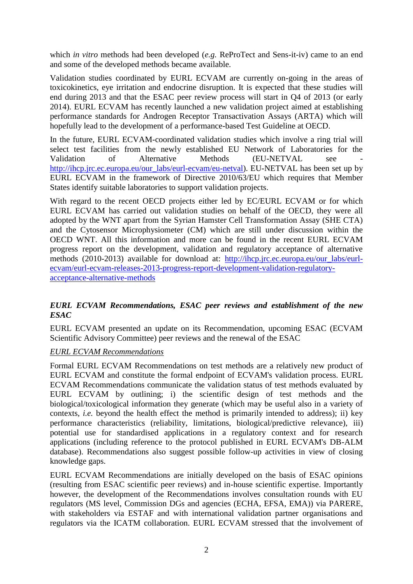which *in vitro* methods had been developed (*e.g.* ReProTect and Sens-it-iv) came to an end and some of the developed methods became available.

Validation studies coordinated by EURL ECVAM are currently on-going in the areas of toxicokinetics, eye irritation and endocrine disruption. It is expected that these studies will end during 2013 and that the ESAC peer review process will start in Q4 of 2013 (or early 2014). EURL ECVAM has recently launched a new validation project aimed at establishing performance standards for Androgen Receptor Transactivation Assays (ARTA) which will hopefully lead to the development of a performance-based Test Guideline at OECD.

In the future, EURL ECVAM-coordinated validation studies which involve a ring trial will select test facilities from the newly established EU Network of Laboratories for the Validation of Alternative Methods (EU-NETVAL see [http://ihcp.jrc.ec.europa.eu/our\\_labs/eurl-ecvam/eu-netval\)](http://ihcp.jrc.ec.europa.eu/our_labs/eurl-ecvam/eu-netval). EU-NETVAL has been set up by EURL ECVAM in the framework of Directive 2010/63/EU which requires that Member States identify suitable laboratories to support validation projects.

With regard to the recent OECD projects either led by EC/EURL ECVAM or for which EURL ECVAM has carried out validation studies on behalf of the OECD, they were all adopted by the WNT apart from the Syrian Hamster Cell Transformation Assay (SHE CTA) and the Cytosensor Microphysiometer (CM) which are still under discussion within the OECD WNT. All this information and more can be found in the recent EURL ECVAM progress report on the development, validation and regulatory acceptance of alternative methods (2010-2013) available for download at: [http://ihcp.jrc.ec.europa.eu/our\\_labs/eurl](http://ihcp.jrc.ec.europa.eu/our_labs/eurl-ecvam/eurl-ecvam-releases-2013-progress-report-development-validation-regulatory-acceptance-alternative-methods)[ecvam/eurl-ecvam-releases-2013-progress-report-development-validation-regulatory](http://ihcp.jrc.ec.europa.eu/our_labs/eurl-ecvam/eurl-ecvam-releases-2013-progress-report-development-validation-regulatory-acceptance-alternative-methods)[acceptance-alternative-methods](http://ihcp.jrc.ec.europa.eu/our_labs/eurl-ecvam/eurl-ecvam-releases-2013-progress-report-development-validation-regulatory-acceptance-alternative-methods)

# *EURL ECVAM Recommendations, ESAC peer reviews and establishment of the new ESAC*

EURL ECVAM presented an update on its Recommendation, upcoming ESAC (ECVAM Scientific Advisory Committee) peer reviews and the renewal of the ESAC

#### *EURL ECVAM Recommendations*

Formal EURL ECVAM Recommendations on test methods are a relatively new product of EURL ECVAM and constitute the formal endpoint of ECVAM's validation process. EURL ECVAM Recommendations communicate the validation status of test methods evaluated by EURL ECVAM by outlining; i) the scientific design of test methods and the biological/toxicological information they generate (which may be useful also in a variety of contexts, *i.e.* beyond the health effect the method is primarily intended to address); ii) key performance characteristics (reliability, limitations, biological/predictive relevance), iii) potential use for standardised applications in a regulatory context and for research applications (including reference to the protocol published in EURL ECVAM's DB-ALM database). Recommendations also suggest possible follow-up activities in view of closing knowledge gaps.

EURL ECVAM Recommendations are initially developed on the basis of ESAC opinions (resulting from ESAC scientific peer reviews) and in-house scientific expertise. Importantly however, the development of the Recommendations involves consultation rounds with EU regulators (MS level, Commission DGs and agencies (ECHA, EFSA, EMA)) via PARERE, with stakeholders via ESTAF and with international validation partner organisations and regulators via the ICATM collaboration. EURL ECVAM stressed that the involvement of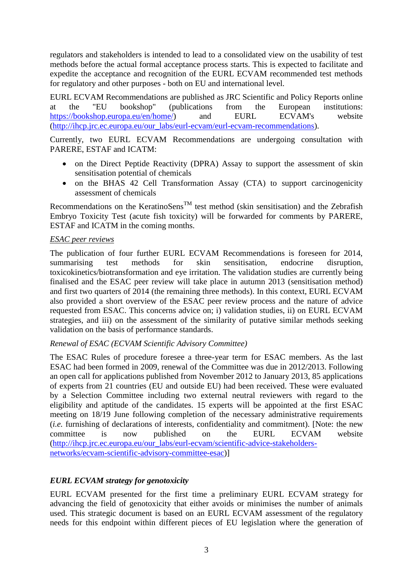regulators and stakeholders is intended to lead to a consolidated view on the usability of test methods before the actual formal acceptance process starts. This is expected to facilitate and expedite the acceptance and recognition of the EURL ECVAM recommended test methods for regulatory and other purposes - both on EU and international level.

EURL ECVAM Recommendations are published as JRC Scientific and Policy Reports online at the "EU bookshop" (publications from the European institutions: [https://bookshop.europa.eu/en/home/\)](https://bookshop.europa.eu/en/home/) and EURL ECVAM's website [\(http://ihcp.jrc.ec.europa.eu/our\\_labs/eurl-ecvam/eurl-ecvam-recommendations\)](http://ihcp.jrc.ec.europa.eu/our_labs/eurl-ecvam/eurl-ecvam-recommendations).

Currently, two EURL ECVAM Recommendations are undergoing consultation with PARERE, ESTAF and ICATM:

- on the Direct Peptide Reactivity (DPRA) Assay to support the assessment of skin sensitisation potential of chemicals
- on the BHAS 42 Cell Transformation Assay (CTA) to support carcinogenicity assessment of chemicals

Recommendations on the KeratinoSens<sup>TM</sup> test method (skin sensitisation) and the Zebrafish Embryo Toxicity Test (acute fish toxicity) will be forwarded for comments by PARERE, ESTAF and ICATM in the coming months.

# *ESAC peer reviews*

The publication of four further EURL ECVAM Recommendations is foreseen for 2014, summarising test methods for skin sensitisation, endocrine disruption, toxicokinetics/biotransformation and eye irritation. The validation studies are currently being finalised and the ESAC peer review will take place in autumn 2013 (sensitisation method) and first two quarters of 2014 (the remaining three methods). In this context, EURL ECVAM also provided a short overview of the ESAC peer review process and the nature of advice requested from ESAC. This concerns advice on; i) validation studies, ii) on EURL ECVAM strategies, and iii) on the assessment of the similarity of putative similar methods seeking validation on the basis of performance standards.

#### *Renewal of ESAC (ECVAM Scientific Advisory Committee)*

The ESAC Rules of procedure foresee a three-year term for ESAC members. As the last ESAC had been formed in 2009, renewal of the Committee was due in 2012/2013. Following an open call for applications published from November 2012 to January 2013, 85 applications of experts from 21 countries (EU and outside EU) had been received. These were evaluated by a Selection Committee including two external neutral reviewers with regard to the eligibility and aptitude of the candidates. 15 experts will be appointed at the first ESAC meeting on 18/19 June following completion of the necessary administrative requirements (*i.e.* furnishing of declarations of interests, confidentiality and commitment). [Note: the new committee is now published on the EURL ECVAM website [\(http://ihcp.jrc.ec.europa.eu/our\\_labs/eurl-ecvam/scientific-advice-stakeholders](http://ihcp.jrc.ec.europa.eu/our_labs/eurl-ecvam/scientific-advice-stakeholders-networks/ecvam-scientific-advisory-committee-esac)[networks/ecvam-scientific-advisory-committee-esac\)](http://ihcp.jrc.ec.europa.eu/our_labs/eurl-ecvam/scientific-advice-stakeholders-networks/ecvam-scientific-advisory-committee-esac)]

# *EURL ECVAM strategy for genotoxicity*

EURL ECVAM presented for the first time a preliminary EURL ECVAM strategy for advancing the field of genotoxicity that either avoids or minimises the number of animals used. This strategic document is based on an EURL ECVAM assessment of the regulatory needs for this endpoint within different pieces of EU legislation where the generation of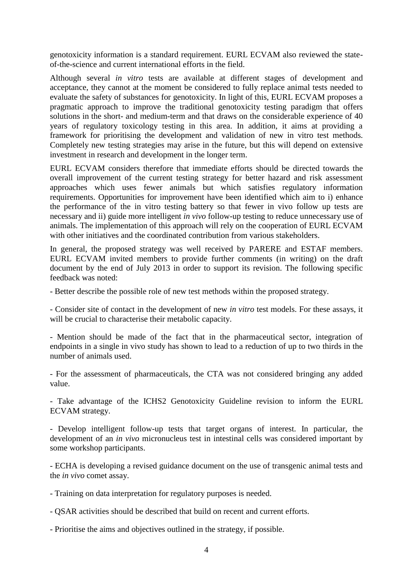genotoxicity information is a standard requirement. EURL ECVAM also reviewed the stateof-the-science and current international efforts in the field.

Although several *in vitro* tests are available at different stages of development and acceptance, they cannot at the moment be considered to fully replace animal tests needed to evaluate the safety of substances for genotoxicity. In light of this, EURL ECVAM proposes a pragmatic approach to improve the traditional genotoxicity testing paradigm that offers solutions in the short- and medium-term and that draws on the considerable experience of 40 years of regulatory toxicology testing in this area. In addition, it aims at providing a framework for prioritising the development and validation of new in vitro test methods. Completely new testing strategies may arise in the future, but this will depend on extensive investment in research and development in the longer term.

EURL ECVAM considers therefore that immediate efforts should be directed towards the overall improvement of the current testing strategy for better hazard and risk assessment approaches which uses fewer animals but which satisfies regulatory information requirements. Opportunities for improvement have been identified which aim to i) enhance the performance of the in vitro testing battery so that fewer in vivo follow up tests are necessary and ii) guide more intelligent *in vivo* follow-up testing to reduce unnecessary use of animals. The implementation of this approach will rely on the cooperation of EURL ECVAM with other initiatives and the coordinated contribution from various stakeholders.

In general, the proposed strategy was well received by PARERE and ESTAF members. EURL ECVAM invited members to provide further comments (in writing) on the draft document by the end of July 2013 in order to support its revision. The following specific feedback was noted:

- Better describe the possible role of new test methods within the proposed strategy.

- Consider site of contact in the development of new *in vitro* test models. For these assays, it will be crucial to characterise their metabolic capacity.

- Mention should be made of the fact that in the pharmaceutical sector, integration of endpoints in a single in vivo study has shown to lead to a reduction of up to two thirds in the number of animals used.

- For the assessment of pharmaceuticals, the CTA was not considered bringing any added value.

- Take advantage of the ICHS2 Genotoxicity Guideline revision to inform the EURL ECVAM strategy.

- Develop intelligent follow-up tests that target organs of interest. In particular, the development of an *in vivo* micronucleus test in intestinal cells was considered important by some workshop participants.

- ECHA is developing a revised guidance document on the use of transgenic animal tests and the *in vivo* comet assay.

- Training on data interpretation for regulatory purposes is needed.

- QSAR activities should be described that build on recent and current efforts.

- Prioritise the aims and objectives outlined in the strategy, if possible.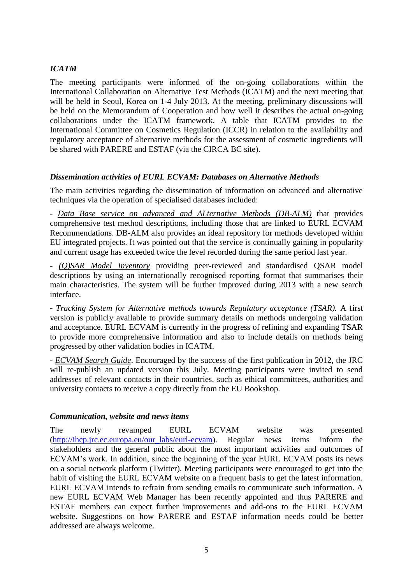# *ICATM*

The meeting participants were informed of the on-going collaborations within the International Collaboration on Alternative Test Methods (ICATM) and the next meeting that will be held in Seoul, Korea on 1-4 July 2013. At the meeting, preliminary discussions will be held on the Memorandum of Cooperation and how well it describes the actual on-going collaborations under the ICATM framework. A table that ICATM provides to the International Committee on Cosmetics Regulation (ICCR) in relation to the availability and regulatory acceptance of alternative methods for the assessment of cosmetic ingredients will be shared with PARERE and ESTAF (via the CIRCA BC site).

# *Dissemination activities of EURL ECVAM: Databases on Alternative Methods*

The main activities regarding the dissemination of information on advanced and alternative techniques via the operation of specialised databases included:

- *Data Base service on advanced and ALternative Methods (DB-ALM)* that provides comprehensive test method descriptions, including those that are linked to EURL ECVAM Recommendations. DB-ALM also provides an ideal repository for methods developed within EU integrated projects. It was pointed out that the service is continually gaining in popularity and current usage has exceeded twice the level recorded during the same period last year.

- *(Q)SAR Model Inventory* providing peer-reviewed and standardised QSAR model descriptions by using an internationally recognised reporting format that summarises their main characteristics. The system will be further improved during 2013 with a new search interface.

- *Tracking System for Alternative methods towards Regulatory acceptance (TSAR).* A first version is publicly available to provide summary details on methods undergoing validation and acceptance. EURL ECVAM is currently in the progress of refining and expanding TSAR to provide more comprehensive information and also to include details on methods being progressed by other validation bodies in ICATM.

- *ECVAM Search Guide*. Encouraged by the success of the first publication in 2012, the JRC will re-publish an updated version this July. Meeting participants were invited to send addresses of relevant contacts in their countries, such as ethical committees, authorities and university contacts to receive a copy directly from the EU Bookshop.

#### *Communication, website and news items*

The newly revamped EURL ECVAM website was presented [\(http://ihcp.jrc.ec.europa.eu/our\\_labs/eurl-ecvam\)](http://ihcp.jrc.ec.europa.eu/our_labs/eurl-ecvam). Regular news items inform the stakeholders and the general public about the most important activities and outcomes of ECVAM's work. In addition, since the beginning of the year EURL ECVAM posts its news on a social network platform (Twitter). Meeting participants were encouraged to get into the habit of visiting the EURL ECVAM website on a frequent basis to get the latest information. EURL ECVAM intends to refrain from sending emails to communicate such information. A new EURL ECVAM Web Manager has been recently appointed and thus PARERE and ESTAF members can expect further improvements and add-ons to the EURL ECVAM website. Suggestions on how PARERE and ESTAF information needs could be better addressed are always welcome.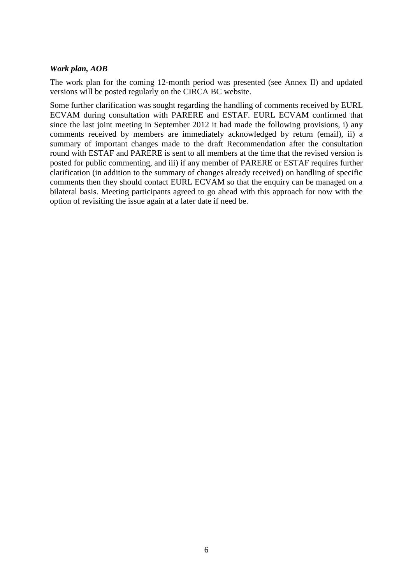# *Work plan, AOB*

The work plan for the coming 12-month period was presented (see Annex II) and updated versions will be posted regularly on the CIRCA BC website.

Some further clarification was sought regarding the handling of comments received by EURL ECVAM during consultation with PARERE and ESTAF. EURL ECVAM confirmed that since the last joint meeting in September 2012 it had made the following provisions, i) any comments received by members are immediately acknowledged by return (email), ii) a summary of important changes made to the draft Recommendation after the consultation round with ESTAF and PARERE is sent to all members at the time that the revised version is posted for public commenting, and iii) if any member of PARERE or ESTAF requires further clarification (in addition to the summary of changes already received) on handling of specific comments then they should contact EURL ECVAM so that the enquiry can be managed on a bilateral basis. Meeting participants agreed to go ahead with this approach for now with the option of revisiting the issue again at a later date if need be.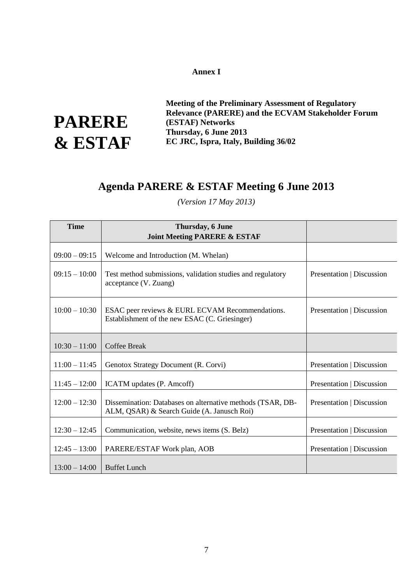#### Annex I **EXAMPLE REFERENCE LABORATORY FOR ALTERNATIVES TO ANIMAL TESTING (EURL ECOLAM)**

**PARERE & ESTAF**

**Meeting of the Preliminary Assessment of Regulatory Relevance (PARERE) and the ECVAM Stakeholder Forum (ESTAF) Networks Thursday, 6 June 2013 EC JRC, Ispra, Italy, Building 36/02**

# **Agenda PARERE & ESTAF Meeting 6 June 2013**

*(Version 17 May 2013)*

| <b>Time</b>     | Thursday, 6 June<br><b>Joint Meeting PARERE &amp; ESTAF</b>                                              |                           |
|-----------------|----------------------------------------------------------------------------------------------------------|---------------------------|
| $09:00 - 09:15$ | Welcome and Introduction (M. Whelan)                                                                     |                           |
| $09:15 - 10:00$ | Test method submissions, validation studies and regulatory<br>acceptance (V. Zuang)                      | Presentation   Discussion |
| $10:00 - 10:30$ | ESAC peer reviews & EURL ECVAM Recommendations.<br>Establishment of the new ESAC (C. Griesinger)         | Presentation   Discussion |
| $10:30 - 11:00$ | <b>Coffee Break</b>                                                                                      |                           |
| $11:00 - 11:45$ | Genotox Strategy Document (R. Corvi)                                                                     | Presentation   Discussion |
| $11:45 - 12:00$ | ICATM updates (P. Amcoff)                                                                                | Presentation   Discussion |
| $12:00 - 12:30$ | Dissemination: Databases on alternative methods (TSAR, DB-<br>ALM, QSAR) & Search Guide (A. Janusch Roi) | Presentation   Discussion |
| $12:30 - 12:45$ | Communication, website, news items (S. Belz)                                                             | Presentation   Discussion |
| $12:45 - 13:00$ | PARERE/ESTAF Work plan, AOB                                                                              | Presentation   Discussion |
| $13:00 - 14:00$ | <b>Buffet Lunch</b>                                                                                      |                           |